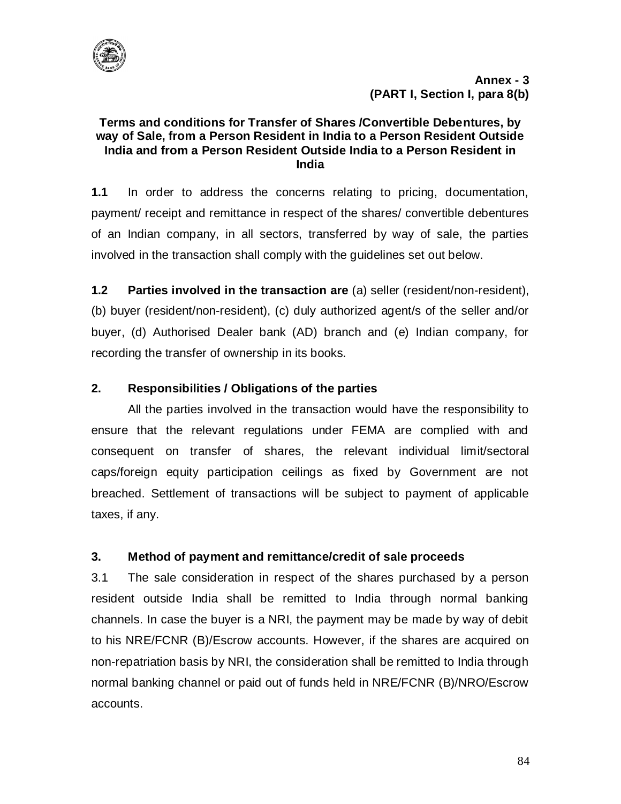

### **Terms and conditions for Transfer of Shares /Convertible Debentures, by way of Sale, from a Person Resident in India to a Person Resident Outside India and from a Person Resident Outside India to a Person Resident in India**

**1.1** In order to address the concerns relating to pricing, documentation, payment/ receipt and remittance in respect of the shares/ convertible debentures of an Indian company, in all sectors, transferred by way of sale, the parties involved in the transaction shall comply with the guidelines set out below.

**1.2 Parties involved in the transaction are** (a) seller (resident/non-resident), (b) buyer (resident/non-resident), (c) duly authorized agent/s of the seller and/or buyer, (d) Authorised Dealer bank (AD) branch and (e) Indian company, for recording the transfer of ownership in its books.

# **2. Responsibilities / Obligations of the parties**

All the parties involved in the transaction would have the responsibility to ensure that the relevant regulations under FEMA are complied with and consequent on transfer of shares, the relevant individual limit/sectoral caps/foreign equity participation ceilings as fixed by Government are not breached. Settlement of transactions will be subject to payment of applicable taxes, if any.

## **3. Method of payment and remittance/credit of sale proceeds**

3.1 The sale consideration in respect of the shares purchased by a person resident outside India shall be remitted to India through normal banking channels. In case the buyer is a NRI, the payment may be made by way of debit to his NRE/FCNR (B)/Escrow accounts. However, if the shares are acquired on non-repatriation basis by NRI, the consideration shall be remitted to India through normal banking channel or paid out of funds held in NRE/FCNR (B)/NRO/Escrow accounts.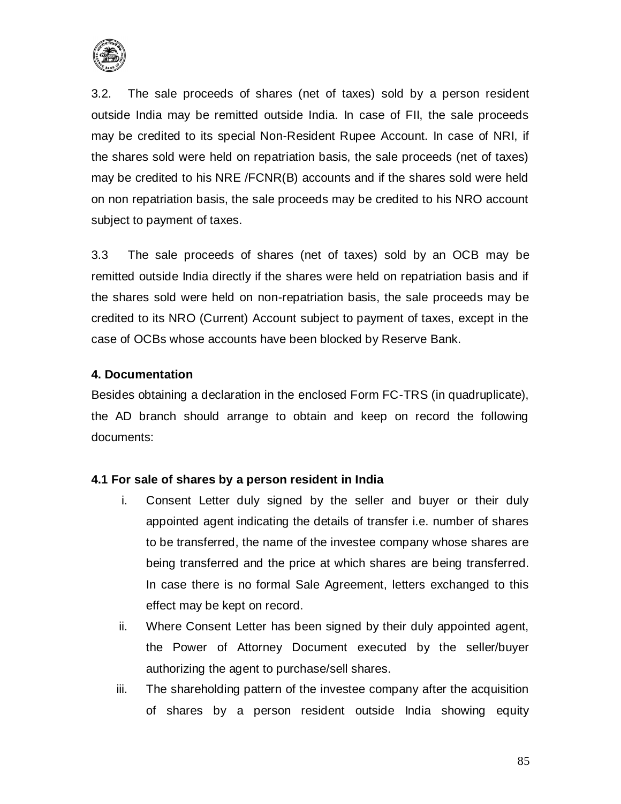

3.2. The sale proceeds of shares (net of taxes) sold by a person resident outside India may be remitted outside India. In case of FII, the sale proceeds may be credited to its special Non-Resident Rupee Account. In case of NRI, if the shares sold were held on repatriation basis, the sale proceeds (net of taxes) may be credited to his NRE /FCNR(B) accounts and if the shares sold were held on non repatriation basis, the sale proceeds may be credited to his NRO account subject to payment of taxes.

3.3 The sale proceeds of shares (net of taxes) sold by an OCB may be remitted outside India directly if the shares were held on repatriation basis and if the shares sold were held on non-repatriation basis, the sale proceeds may be credited to its NRO (Current) Account subject to payment of taxes, except in the case of OCBs whose accounts have been blocked by Reserve Bank.

#### **4. Documentation**

Besides obtaining a declaration in the enclosed Form FC-TRS (in quadruplicate), the AD branch should arrange to obtain and keep on record the following documents:

#### **4.1 For sale of shares by a person resident in India**

- i. Consent Letter duly signed by the seller and buyer or their duly appointed agent indicating the details of transfer i.e. number of shares to be transferred, the name of the investee company whose shares are being transferred and the price at which shares are being transferred. In case there is no formal Sale Agreement, letters exchanged to this effect may be kept on record.
- ii. Where Consent Letter has been signed by their duly appointed agent, the Power of Attorney Document executed by the seller/buyer authorizing the agent to purchase/sell shares.
- iii. The shareholding pattern of the investee company after the acquisition of shares by a person resident outside India showing equity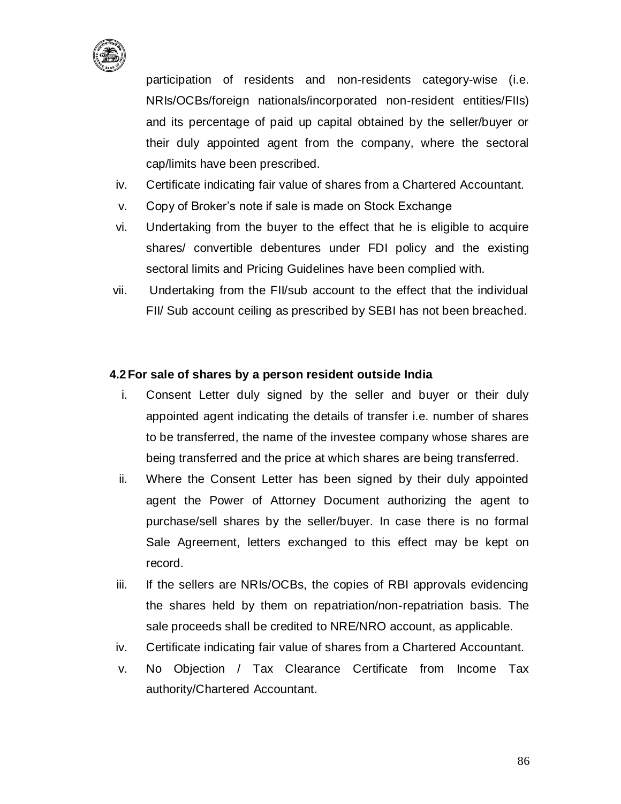

participation of residents and non-residents category-wise (i.e. NRIs/OCBs/foreign nationals/incorporated non-resident entities/FIIs) and its percentage of paid up capital obtained by the seller/buyer or their duly appointed agent from the company, where the sectoral cap/limits have been prescribed.

- iv. Certificate indicating fair value of shares from a Chartered Accountant.
- v. Copy of Broker's note if sale is made on Stock Exchange
- vi. Undertaking from the buyer to the effect that he is eligible to acquire shares/ convertible debentures under FDI policy and the existing sectoral limits and Pricing Guidelines have been complied with.
- vii. Undertaking from the FII/sub account to the effect that the individual FII/ Sub account ceiling as prescribed by SEBI has not been breached.

#### **4.2For sale of shares by a person resident outside India**

- i. Consent Letter duly signed by the seller and buyer or their duly appointed agent indicating the details of transfer i.e. number of shares to be transferred, the name of the investee company whose shares are being transferred and the price at which shares are being transferred.
- ii. Where the Consent Letter has been signed by their duly appointed agent the Power of Attorney Document authorizing the agent to purchase/sell shares by the seller/buyer. In case there is no formal Sale Agreement, letters exchanged to this effect may be kept on record.
- iii. If the sellers are NRIs/OCBs, the copies of RBI approvals evidencing the shares held by them on repatriation/non-repatriation basis. The sale proceeds shall be credited to NRE/NRO account, as applicable.
- iv. Certificate indicating fair value of shares from a Chartered Accountant.
- v. No Objection / Tax Clearance Certificate from Income Tax authority/Chartered Accountant.